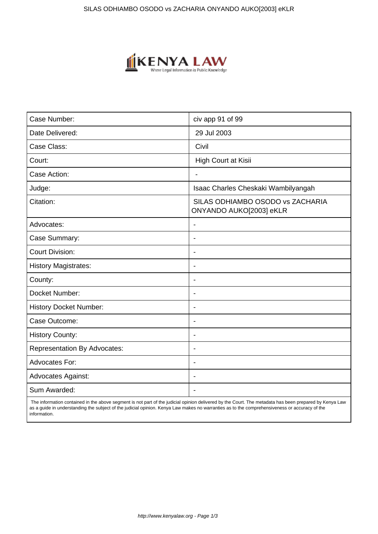

| Case Number:                        | civ app 91 of 99                                            |
|-------------------------------------|-------------------------------------------------------------|
| Date Delivered:                     | 29 Jul 2003                                                 |
| Case Class:                         | Civil                                                       |
| Court:                              | High Court at Kisii                                         |
| Case Action:                        | $\blacksquare$                                              |
| Judge:                              | Isaac Charles Cheskaki Wambilyangah                         |
| Citation:                           | SILAS ODHIAMBO OSODO vs ZACHARIA<br>ONYANDO AUKO[2003] eKLR |
| Advocates:                          |                                                             |
| Case Summary:                       | $\overline{\phantom{a}}$                                    |
| <b>Court Division:</b>              |                                                             |
| <b>History Magistrates:</b>         | $\blacksquare$                                              |
| County:                             | ÷.                                                          |
| Docket Number:                      |                                                             |
| <b>History Docket Number:</b>       | $\overline{\phantom{a}}$                                    |
| Case Outcome:                       |                                                             |
| <b>History County:</b>              | ÷.                                                          |
| <b>Representation By Advocates:</b> | $\overline{\phantom{a}}$                                    |
| <b>Advocates For:</b>               | $\blacksquare$                                              |
| <b>Advocates Against:</b>           |                                                             |
| Sum Awarded:                        |                                                             |

 The information contained in the above segment is not part of the judicial opinion delivered by the Court. The metadata has been prepared by Kenya Law as a guide in understanding the subject of the judicial opinion. Kenya Law makes no warranties as to the comprehensiveness or accuracy of the information.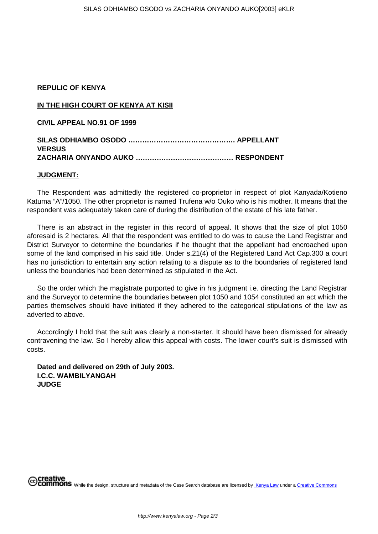## **REPULIC OF KENYA**

## **IN THE HIGH COURT OF KENYA AT KISII**

**CIVIL APPEAL NO.91 OF 1999**

## **SILAS ODHIAMBO OSODO ………………………………………. APPELLANT VERSUS ZACHARIA ONYANDO AUKO …………………………………… RESPONDENT**

## **JUDGMENT:**

The Respondent was admittedly the registered co-proprietor in respect of plot Kanyada/Kotieno Katuma "A"/1050. The other proprietor is named Trufena w/o Ouko who is his mother. It means that the respondent was adequately taken care of during the distribution of the estate of his late father.

There is an abstract in the register in this record of appeal. It shows that the size of plot 1050 aforesaid is 2 hectares. All that the respondent was entitled to do was to cause the Land Registrar and District Surveyor to determine the boundaries if he thought that the appellant had encroached upon some of the land comprised in his said title. Under s.21(4) of the Registered Land Act Cap.300 a court has no jurisdiction to entertain any action relating to a dispute as to the boundaries of registered land unless the boundaries had been determined as stipulated in the Act.

So the order which the magistrate purported to give in his judgment i.e. directing the Land Registrar and the Surveyor to determine the boundaries between plot 1050 and 1054 constituted an act which the parties themselves should have initiated if they adhered to the categorical stipulations of the law as adverted to above.

Accordingly I hold that the suit was clearly a non-starter. It should have been dismissed for already contravening the law. So I hereby allow this appeal with costs. The lower court's suit is dismissed with costs.

**Dated and delivered on 29th of July 2003. I.C.C. WAMBILYANGAH JUDGE**